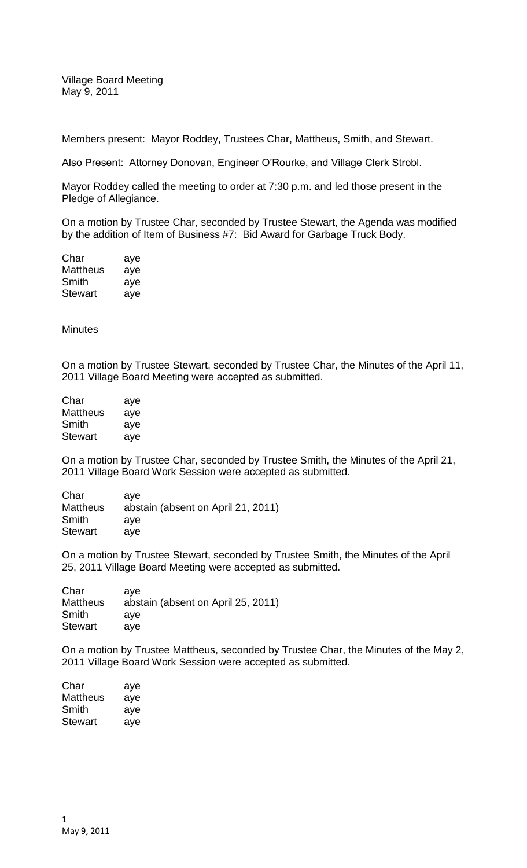Village Board Meeting May 9, 2011

Members present: Mayor Roddey, Trustees Char, Mattheus, Smith, and Stewart.

Also Present: Attorney Donovan, Engineer O'Rourke, and Village Clerk Strobl.

Mayor Roddey called the meeting to order at 7:30 p.m. and led those present in the Pledge of Allegiance.

On a motion by Trustee Char, seconded by Trustee Stewart, the Agenda was modified by the addition of Item of Business #7: Bid Award for Garbage Truck Body.

| Char           | aye |
|----------------|-----|
| Mattheus       | aye |
| Smith          | aye |
| <b>Stewart</b> | aye |

**Minutes** 

On a motion by Trustee Stewart, seconded by Trustee Char, the Minutes of the April 11, 2011 Village Board Meeting were accepted as submitted.

| Char     | aye |
|----------|-----|
| Mattheus | aye |
| Smith    | aye |
| Stewart  | aye |

On a motion by Trustee Char, seconded by Trustee Smith, the Minutes of the April 21, 2011 Village Board Work Session were accepted as submitted.

| Char            | ave                                |
|-----------------|------------------------------------|
| <b>Mattheus</b> | abstain (absent on April 21, 2011) |
| Smith           | ave                                |
| <b>Stewart</b>  | ave                                |

On a motion by Trustee Stewart, seconded by Trustee Smith, the Minutes of the April 25, 2011 Village Board Meeting were accepted as submitted.

| Char            | ave                                |
|-----------------|------------------------------------|
| <b>Mattheus</b> | abstain (absent on April 25, 2011) |
| Smith           | ave                                |
| <b>Stewart</b>  | ave                                |

On a motion by Trustee Mattheus, seconded by Trustee Char, the Minutes of the May 2, 2011 Village Board Work Session were accepted as submitted.

| Char            | aye |
|-----------------|-----|
| <b>Mattheus</b> | aye |
| Smith           | aye |
| Stewart         | aye |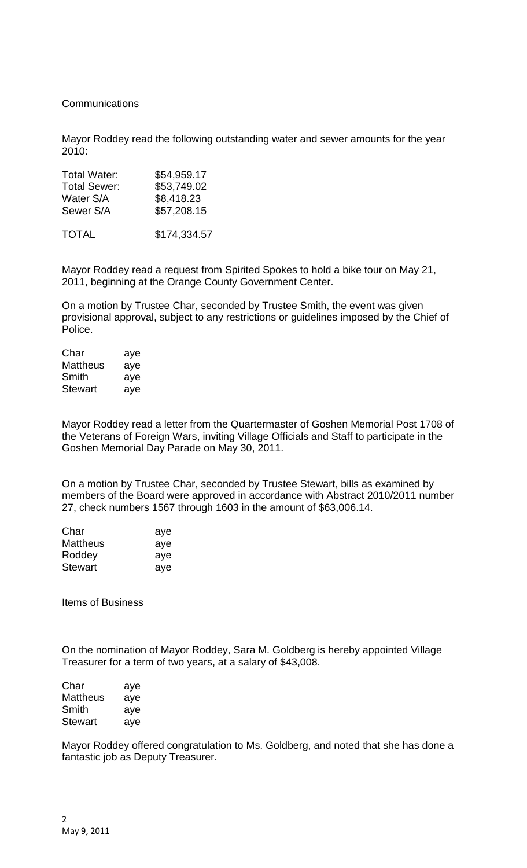## **Communications**

Mayor Roddey read the following outstanding water and sewer amounts for the year 2010:

| <b>Total Water:</b> | \$54,959.17  |
|---------------------|--------------|
| <b>Total Sewer:</b> | \$53,749.02  |
| Water S/A           | \$8,418.23   |
| Sewer S/A           | \$57,208.15  |
| <b>TOTAL</b>        | \$174,334.57 |

Mayor Roddey read a request from Spirited Spokes to hold a bike tour on May 21, 2011, beginning at the Orange County Government Center.

On a motion by Trustee Char, seconded by Trustee Smith, the event was given provisional approval, subject to any restrictions or guidelines imposed by the Chief of Police.

| Char     | aye |
|----------|-----|
| Mattheus | aye |
| Smith    | aye |
| Stewart  | aye |

Mayor Roddey read a letter from the Quartermaster of Goshen Memorial Post 1708 of the Veterans of Foreign Wars, inviting Village Officials and Staff to participate in the Goshen Memorial Day Parade on May 30, 2011.

On a motion by Trustee Char, seconded by Trustee Stewart, bills as examined by members of the Board were approved in accordance with Abstract 2010/2011 number 27, check numbers 1567 through 1603 in the amount of \$63,006.14.

| aye |
|-----|
| aye |
| aye |
| aye |
|     |

Items of Business

On the nomination of Mayor Roddey, Sara M. Goldberg is hereby appointed Village Treasurer for a term of two years, at a salary of \$43,008.

| Char            | aye |
|-----------------|-----|
| <b>Mattheus</b> | aye |
| Smith           | aye |
| Stewart         | aye |

Mayor Roddey offered congratulation to Ms. Goldberg, and noted that she has done a fantastic job as Deputy Treasurer.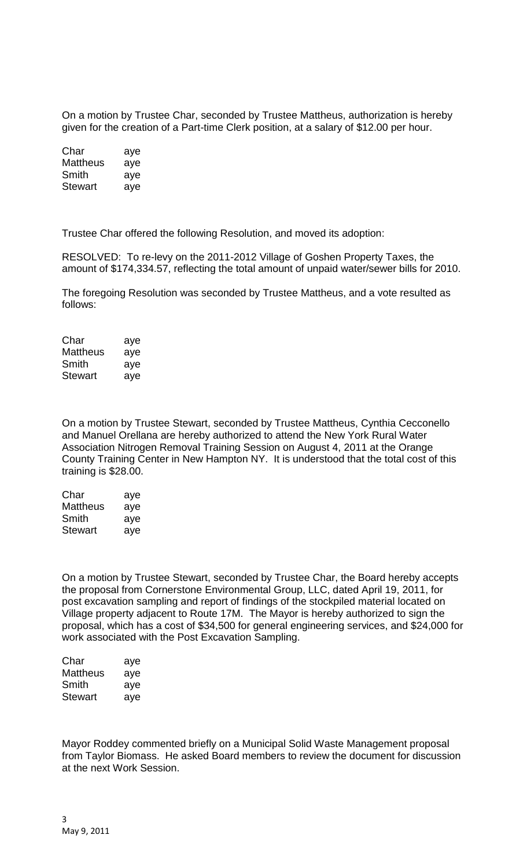On a motion by Trustee Char, seconded by Trustee Mattheus, authorization is hereby given for the creation of a Part-time Clerk position, at a salary of \$12.00 per hour.

| Char     | aye |
|----------|-----|
| Mattheus | aye |
| Smith    | aye |
| Stewart  | aye |

Trustee Char offered the following Resolution, and moved its adoption:

RESOLVED: To re-levy on the 2011-2012 Village of Goshen Property Taxes, the amount of \$174,334.57, reflecting the total amount of unpaid water/sewer bills for 2010.

The foregoing Resolution was seconded by Trustee Mattheus, and a vote resulted as follows:

| Char           | aye |
|----------------|-----|
| Mattheus       | aye |
| Smith          | aye |
| <b>Stewart</b> | aye |

On a motion by Trustee Stewart, seconded by Trustee Mattheus, Cynthia Cecconello and Manuel Orellana are hereby authorized to attend the New York Rural Water Association Nitrogen Removal Training Session on August 4, 2011 at the Orange County Training Center in New Hampton NY. It is understood that the total cost of this training is \$28.00.

| Char     | aye |
|----------|-----|
| Mattheus | aye |
| Smith    | aye |
| Stewart  | aye |

On a motion by Trustee Stewart, seconded by Trustee Char, the Board hereby accepts the proposal from Cornerstone Environmental Group, LLC, dated April 19, 2011, for post excavation sampling and report of findings of the stockpiled material located on Village property adjacent to Route 17M. The Mayor is hereby authorized to sign the proposal, which has a cost of \$34,500 for general engineering services, and \$24,000 for work associated with the Post Excavation Sampling.

| Char     | aye |
|----------|-----|
| Mattheus | aye |
| Smith    | aye |
| Stewart  | aye |

Mayor Roddey commented briefly on a Municipal Solid Waste Management proposal from Taylor Biomass. He asked Board members to review the document for discussion at the next Work Session.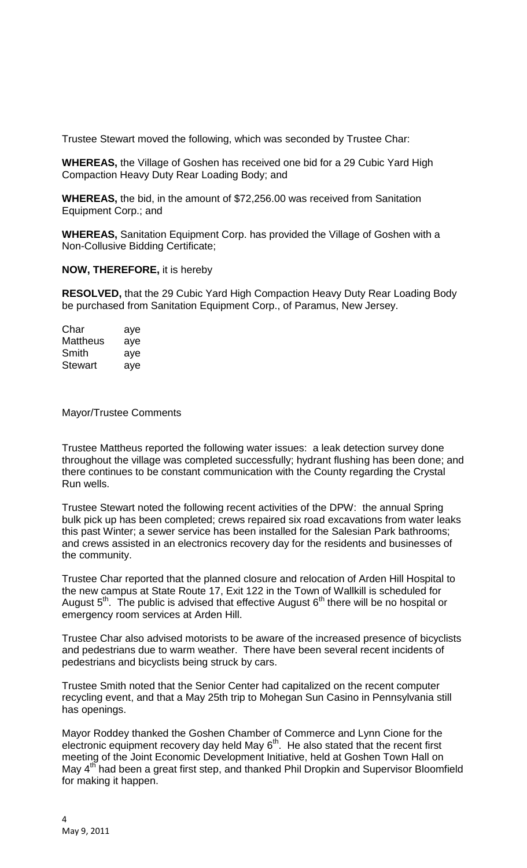Trustee Stewart moved the following, which was seconded by Trustee Char:

**WHEREAS,** the Village of Goshen has received one bid for a 29 Cubic Yard High Compaction Heavy Duty Rear Loading Body; and

**WHEREAS,** the bid, in the amount of \$72,256.00 was received from Sanitation Equipment Corp.; and

**WHEREAS,** Sanitation Equipment Corp. has provided the Village of Goshen with a Non-Collusive Bidding Certificate;

## **NOW, THEREFORE,** it is hereby

**RESOLVED,** that the 29 Cubic Yard High Compaction Heavy Duty Rear Loading Body be purchased from Sanitation Equipment Corp., of Paramus, New Jersey.

| Char     | aye |
|----------|-----|
| Mattheus | aye |
| Smith    | aye |
| Stewart  | aye |

Mayor/Trustee Comments

Trustee Mattheus reported the following water issues: a leak detection survey done throughout the village was completed successfully; hydrant flushing has been done; and there continues to be constant communication with the County regarding the Crystal Run wells.

Trustee Stewart noted the following recent activities of the DPW: the annual Spring bulk pick up has been completed; crews repaired six road excavations from water leaks this past Winter; a sewer service has been installed for the Salesian Park bathrooms; and crews assisted in an electronics recovery day for the residents and businesses of the community.

Trustee Char reported that the planned closure and relocation of Arden Hill Hospital to the new campus at State Route 17, Exit 122 in the Town of Wallkill is scheduled for August  $5<sup>th</sup>$ . The public is advised that effective August  $6<sup>th</sup>$  there will be no hospital or emergency room services at Arden Hill.

Trustee Char also advised motorists to be aware of the increased presence of bicyclists and pedestrians due to warm weather. There have been several recent incidents of pedestrians and bicyclists being struck by cars.

Trustee Smith noted that the Senior Center had capitalized on the recent computer recycling event, and that a May 25th trip to Mohegan Sun Casino in Pennsylvania still has openings.

Mayor Roddey thanked the Goshen Chamber of Commerce and Lynn Cione for the electronic equipment recovery day held May  $6<sup>th</sup>$ . He also stated that the recent first meeting of the Joint Economic Development Initiative, held at Goshen Town Hall on May 4<sup>th</sup> had been a great first step, and thanked Phil Dropkin and Supervisor Bloomfield for making it happen.